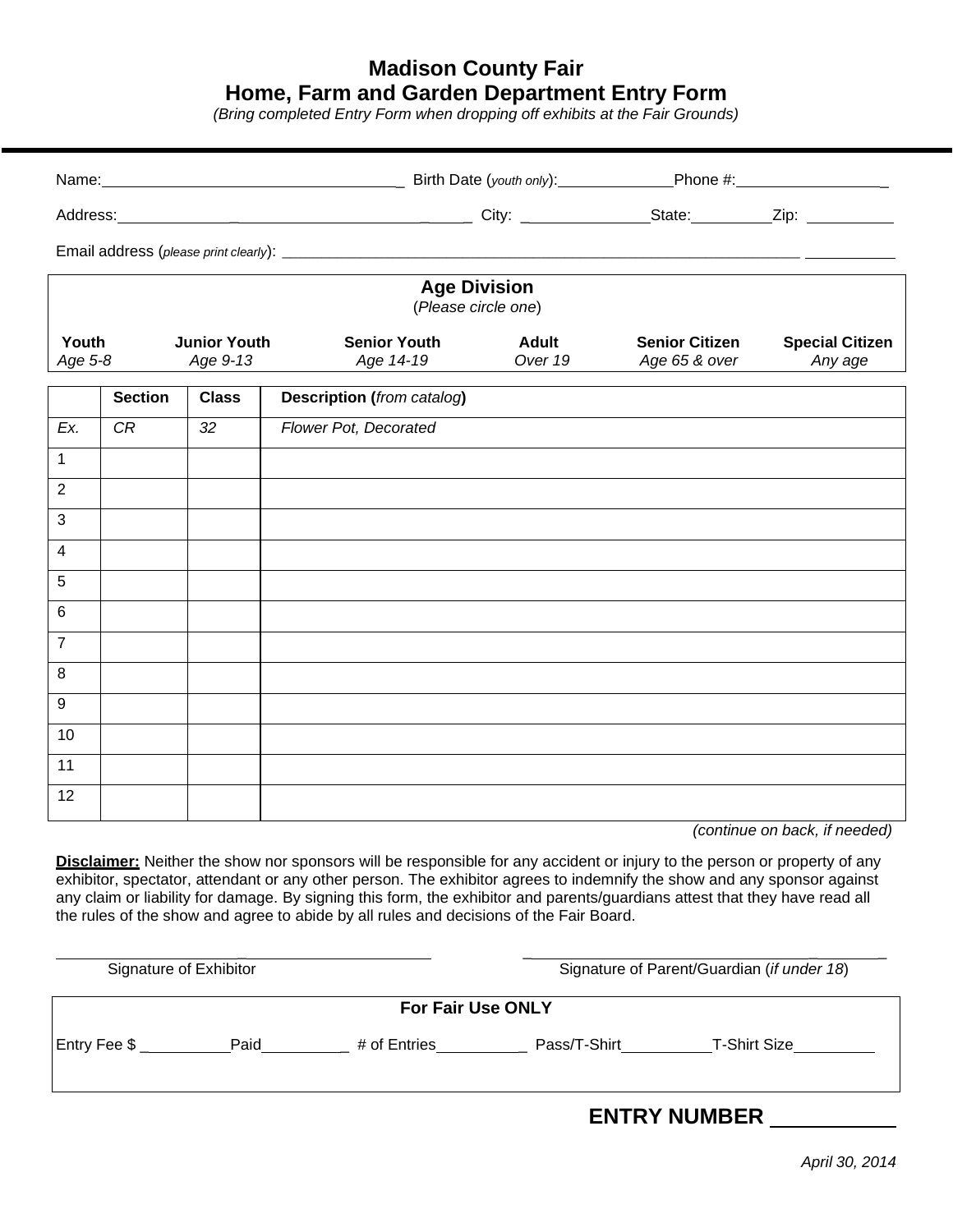## **Madison County Fair Home, Farm and Garden Department Entry Form**

*(Bring completed Entry Form when dropping off exhibits at the Fair Grounds)*

| <b>Age Division</b><br>(Please circle one)          |                |              |                                   |                         |                                        |                                   |  |  |  |  |
|-----------------------------------------------------|----------------|--------------|-----------------------------------|-------------------------|----------------------------------------|-----------------------------------|--|--|--|--|
| Youth<br><b>Junior Youth</b><br>Age 5-8<br>Age 9-13 |                |              | <b>Senior Youth</b><br>Age 14-19  | <b>Adult</b><br>Over 19 | <b>Senior Citizen</b><br>Age 65 & over | <b>Special Citizen</b><br>Any age |  |  |  |  |
|                                                     | <b>Section</b> | <b>Class</b> | <b>Description (from catalog)</b> |                         |                                        |                                   |  |  |  |  |
| Ex.                                                 | CR             | 32           | Flower Pot, Decorated             |                         |                                        |                                   |  |  |  |  |
| $\mathbf{1}$                                        |                |              |                                   |                         |                                        |                                   |  |  |  |  |
| $\sqrt{2}$                                          |                |              |                                   |                         |                                        |                                   |  |  |  |  |
| $\mathbf{3}$                                        |                |              |                                   |                         |                                        |                                   |  |  |  |  |
| $\overline{\mathbf{4}}$                             |                |              |                                   |                         |                                        |                                   |  |  |  |  |
| 5                                                   |                |              |                                   |                         |                                        |                                   |  |  |  |  |
| $\,6$                                               |                |              |                                   |                         |                                        |                                   |  |  |  |  |
| $\overline{7}$                                      |                |              |                                   |                         |                                        |                                   |  |  |  |  |
| 8                                                   |                |              |                                   |                         |                                        |                                   |  |  |  |  |
| $\boldsymbol{9}$                                    |                |              |                                   |                         |                                        |                                   |  |  |  |  |
| 10                                                  |                |              |                                   |                         |                                        |                                   |  |  |  |  |
| 11                                                  |                |              |                                   |                         |                                        |                                   |  |  |  |  |
| 12                                                  |                |              |                                   |                         |                                        |                                   |  |  |  |  |
|                                                     |                |              |                                   |                         |                                        | (continuo on hook if nooded)      |  |  |  |  |

*(continue on back, if needed)*

**Disclaimer:** Neither the show nor sponsors will be responsible for any accident or injury to the person or property of any exhibitor, spectator, attendant or any other person. The exhibitor agrees to indemnify the show and any sponsor against any claim or liability for damage. By signing this form, the exhibitor and parents/guardians attest that they have read all the rules of the show and agree to abide by all rules and decisions of the Fair Board.

| Signature of Exhibitor   |  |              |              | Signature of Parent/Guardian (if under 18) |  |  |
|--------------------------|--|--------------|--------------|--------------------------------------------|--|--|
| <b>For Fair Use ONLY</b> |  |              |              |                                            |  |  |
| Entry Fee \$ Paid        |  | # of Entries | Pass/T-Shirt | T-Shirt Size                               |  |  |
|                          |  |              |              | <b>ENTRY NUMBER</b>                        |  |  |

*April 30, 2014*